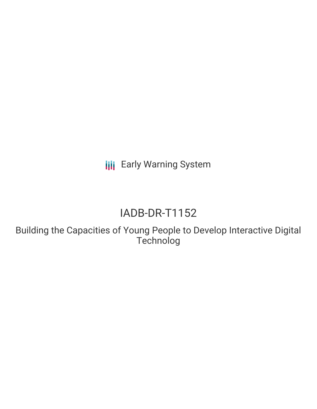**III** Early Warning System

# IADB-DR-T1152

Building the Capacities of Young People to Develop Interactive Digital Technolog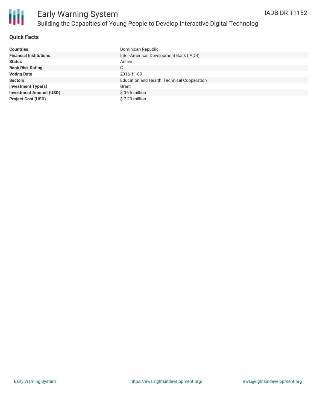

### **Quick Facts**

| <b>Countries</b>               | Dominican Republic                          |
|--------------------------------|---------------------------------------------|
| <b>Financial Institutions</b>  | Inter-American Development Bank (IADB)      |
| <b>Status</b>                  | Active                                      |
| <b>Bank Risk Rating</b>        | С                                           |
| <b>Voting Date</b>             | 2016-11-09                                  |
| <b>Sectors</b>                 | Education and Health, Technical Cooperation |
| <b>Investment Type(s)</b>      | Grant                                       |
| <b>Investment Amount (USD)</b> | \$0.96 million                              |
| <b>Project Cost (USD)</b>      | \$7.23 million                              |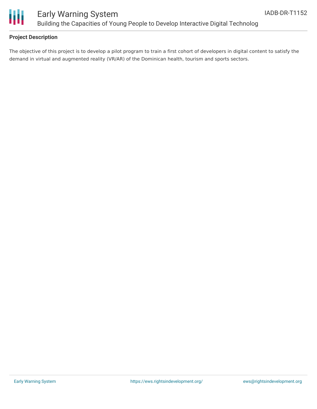

## Early Warning System Building the Capacities of Young People to Develop Interactive Digital Technolog

#### **Project Description**

The objective of this project is to develop a pilot program to train a first cohort of developers in digital content to satisfy the demand in virtual and augmented reality (VR/AR) of the Dominican health, tourism and sports sectors.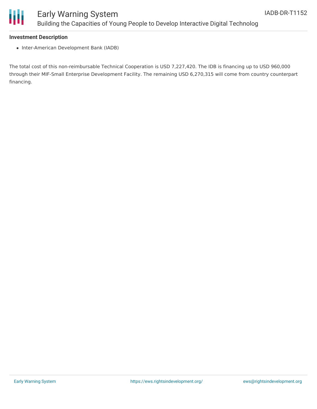

#### **Investment Description**

• Inter-American Development Bank (IADB)

The total cost of this non-reimbursable Technical Cooperation is USD 7,227,420. The IDB is financing up to USD 960,000 through their MIF-Small Enterprise Development Facility. The remaining USD 6,270,315 will come from country counterpart financing.